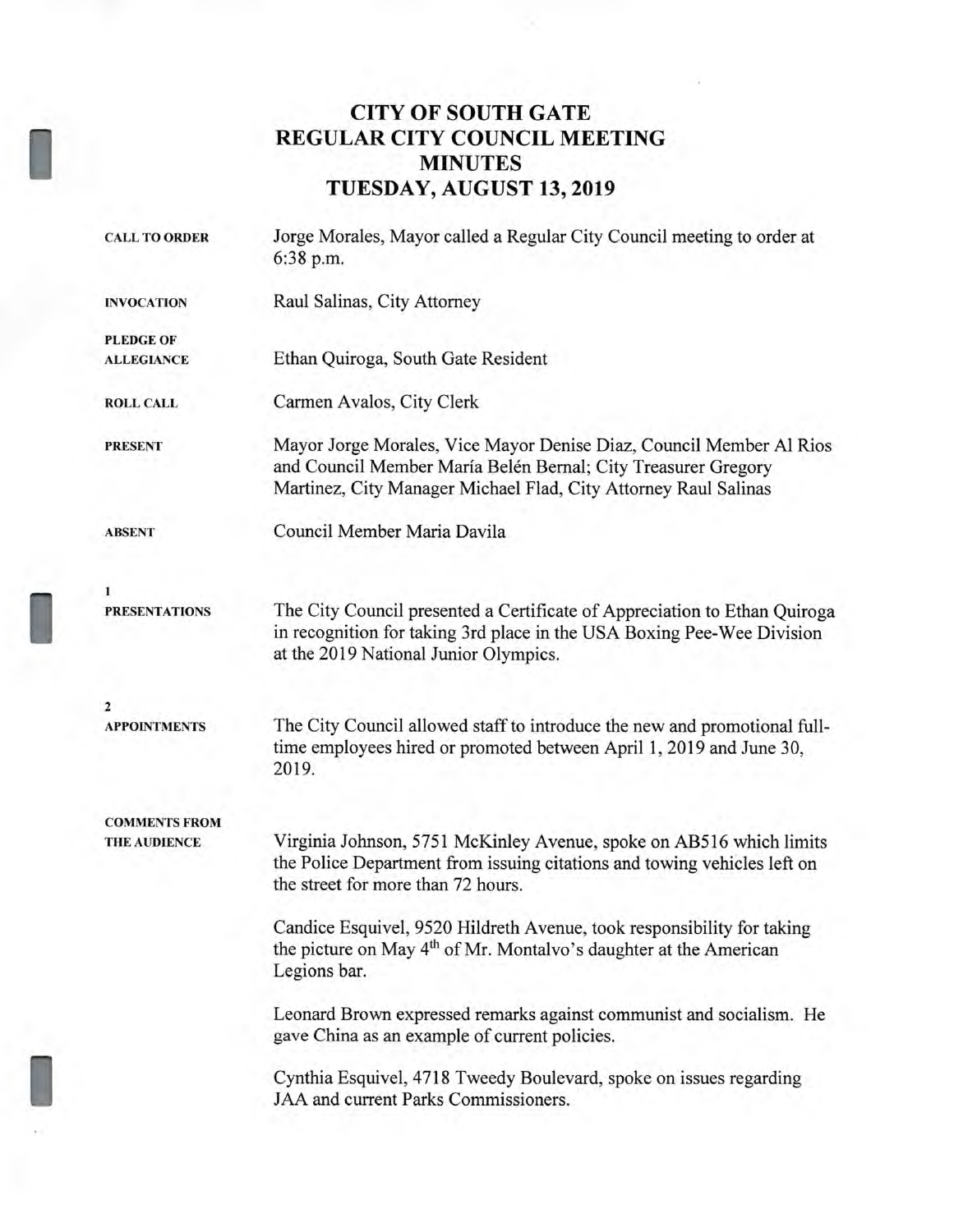## **CITY OF SOUTH GATE REGULAR CITY COUNCIL MEETING MINUTES TUESDAY, AUGUST 13, 2019**

| <b>CALL TO ORDER</b> | Jorge Morales, Mayor called a Regular City Council meeting to order at<br>6:38 p.m.                                                                                                                     |  |  |  |
|----------------------|---------------------------------------------------------------------------------------------------------------------------------------------------------------------------------------------------------|--|--|--|
| <b>INVOCATION</b>    | Raul Salinas, City Attorney                                                                                                                                                                             |  |  |  |
| <b>PLEDGE OF</b>     |                                                                                                                                                                                                         |  |  |  |
| <b>ALLEGIANCE</b>    | Ethan Quiroga, South Gate Resident                                                                                                                                                                      |  |  |  |
| <b>ROLL CALL</b>     | Carmen Avalos, City Clerk                                                                                                                                                                               |  |  |  |
| <b>PRESENT</b>       | Mayor Jorge Morales, Vice Mayor Denise Diaz, Council Member Al Rios<br>and Council Member María Belén Bernal; City Treasurer Gregory<br>Martinez, City Manager Michael Flad, City Attorney Raul Salinas |  |  |  |
| <b>ABSENT</b>        | Council Member Maria Davila                                                                                                                                                                             |  |  |  |
| 1                    |                                                                                                                                                                                                         |  |  |  |
| <b>PRESENTATIONS</b> | The City Council presented a Certificate of Appreciation to Ethan Quiroga<br>in recognition for taking 3rd place in the USA Boxing Pee-Wee Division<br>at the 2019 National Junior Olympics.            |  |  |  |
| 2                    |                                                                                                                                                                                                         |  |  |  |
| <b>APPOINTMENTS</b>  | The City Council allowed staff to introduce the new and promotional full-<br>time employees hired or promoted between April 1, 2019 and June 30,<br>2019.                                               |  |  |  |
| <b>COMMENTS FROM</b> |                                                                                                                                                                                                         |  |  |  |
| <b>THE AUDIENCE</b>  | Virginia Johnson, 5751 McKinley Avenue, spoke on AB516 which limits<br>the Police Department from issuing citations and towing vehicles left on<br>the street for more than 72 hours.                   |  |  |  |
|                      | Candice Esquivel, 9520 Hildreth Avenue, took responsibility for taking<br>the picture on May 4 <sup>th</sup> of Mr. Montalvo's daughter at the American<br>Legions bar.                                 |  |  |  |
|                      | Leonard Brown expressed remarks against communist and socialism. He<br>gave China as an example of current policies.                                                                                    |  |  |  |
|                      | Cynthia Esquivel, 4718 Tweedy Boulevard, spoke on issues regarding<br>JAA and current Parks Commissioners.                                                                                              |  |  |  |

I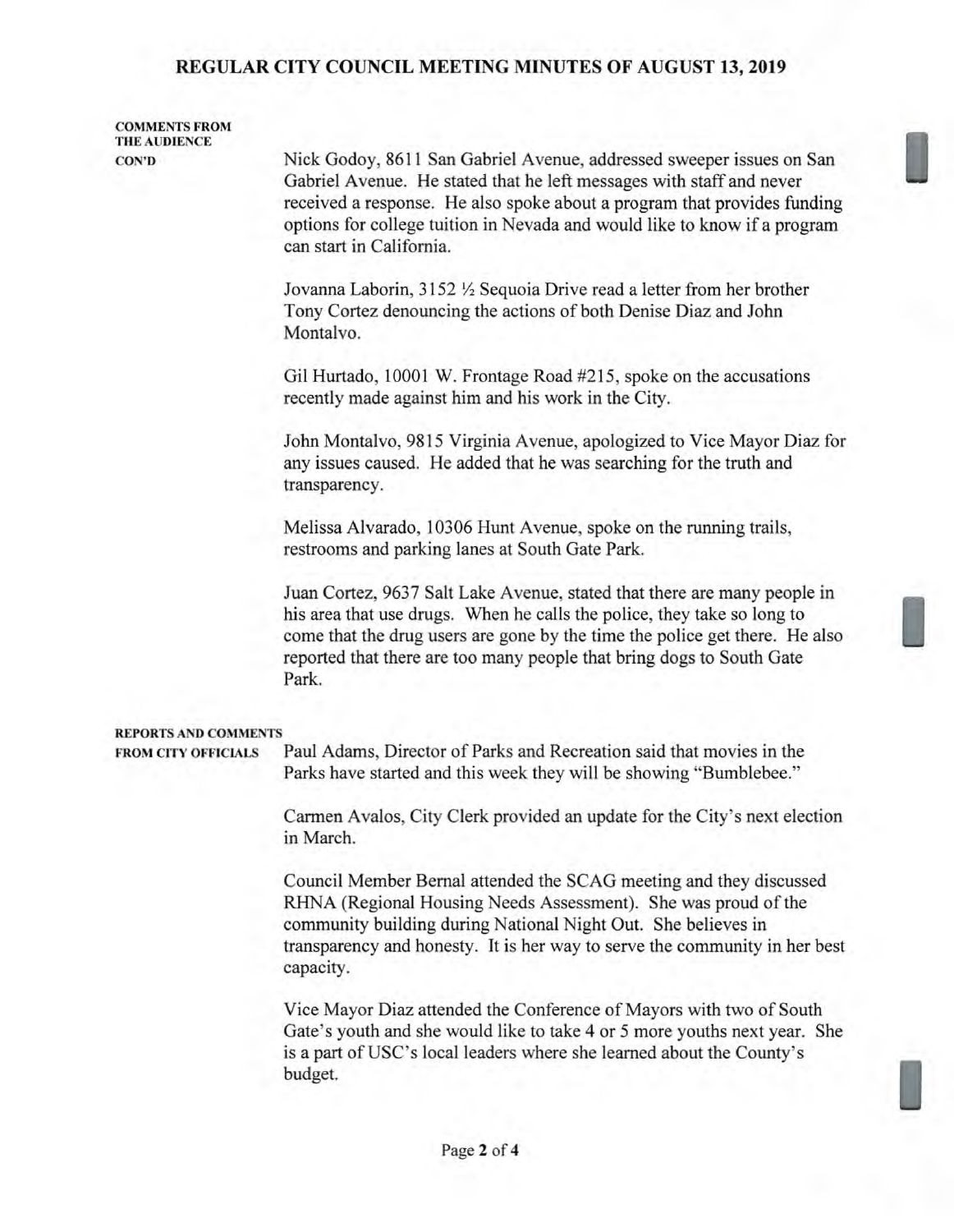# **REGULAR CITY COUNCIL MEETING MINUTES OF AUGUST 13, 2019**

| <b>COMMENTS FROM</b>        |                                                                                                                                                                                                                                                                                                                                   |  |  |  |
|-----------------------------|-----------------------------------------------------------------------------------------------------------------------------------------------------------------------------------------------------------------------------------------------------------------------------------------------------------------------------------|--|--|--|
| <b>CON'D</b>                | Nick Godoy, 8611 San Gabriel Avenue, addressed sweeper issues on San<br>Gabriel Avenue. He stated that he left messages with staff and never<br>received a response. He also spoke about a program that provides funding<br>options for college tuition in Nevada and would like to know if a program<br>can start in California. |  |  |  |
|                             | Jovanna Laborin, 3152 1/2 Sequoia Drive read a letter from her brother<br>Tony Cortez denouncing the actions of both Denise Diaz and John<br>Montalvo.                                                                                                                                                                            |  |  |  |
|                             | Gil Hurtado, 10001 W. Frontage Road #215, spoke on the accusations<br>recently made against him and his work in the City.                                                                                                                                                                                                         |  |  |  |
|                             | John Montalvo, 9815 Virginia Avenue, apologized to Vice Mayor Diaz for<br>any issues caused. He added that he was searching for the truth and<br>transparency.                                                                                                                                                                    |  |  |  |
|                             | Melissa Alvarado, 10306 Hunt Avenue, spoke on the running trails,<br>restrooms and parking lanes at South Gate Park.                                                                                                                                                                                                              |  |  |  |
|                             | Juan Cortez, 9637 Salt Lake Avenue, stated that there are many people in<br>his area that use drugs. When he calls the police, they take so long to<br>come that the drug users are gone by the time the police get there. He also<br>reported that there are too many people that bring dogs to South Gate<br>Park.              |  |  |  |
| <b>REPORTS AND COMMENTS</b> |                                                                                                                                                                                                                                                                                                                                   |  |  |  |
| <b>FROM CITY OFFICIALS</b>  | Paul Adams, Director of Parks and Recreation said that movies in the<br>Parks have started and this week they will be showing "Bumblebee."                                                                                                                                                                                        |  |  |  |
|                             | Carmen Avalos, City Clerk provided an update for the City's next election<br>in March.                                                                                                                                                                                                                                            |  |  |  |
|                             | Council Member Bernal attended the SCAG meeting and they discussed<br>RHNA (Regional Housing Needs Assessment). She was proud of the<br>community building during National Night Out. She believes in<br>transparency and honesty. It is her way to serve the community in her best<br>capacity.                                  |  |  |  |
|                             | Vice Mayor Diaz attended the Conference of Mayors with two of South<br>Gate's youth and she would like to take 4 or 5 more youths next year. She<br>is a part of USC's local leaders where she learned about the County's<br>budget.                                                                                              |  |  |  |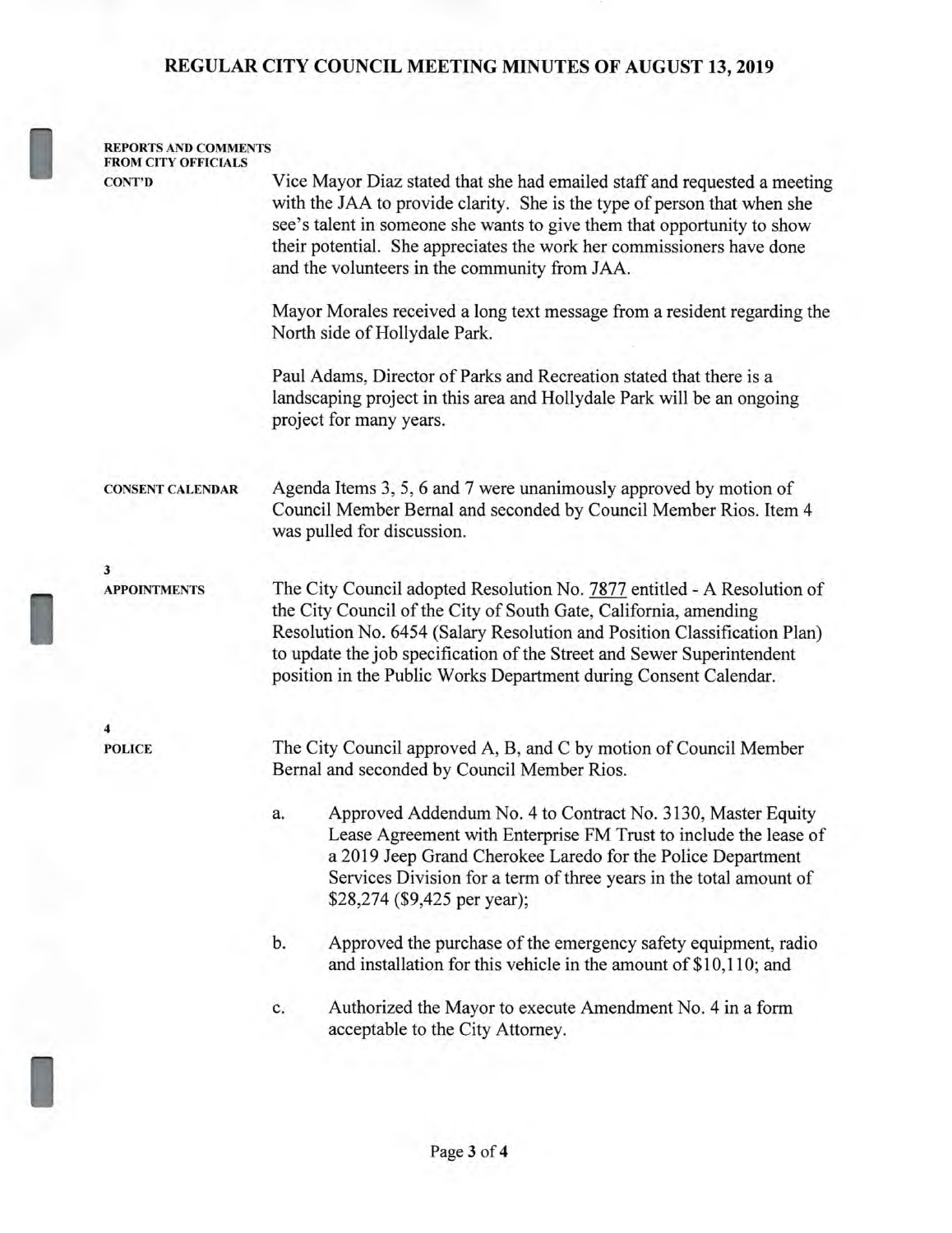#### **REGULAR CITY COUNCIL MEETING MINUTES OF AUGUST 13, 2019**

#### **REPORTS AND COMMENTS FROM CITY OFFICIALS**

**CONT'D** Vice Mayor Diaz stated that she had emailed staff and requested a meeting with the JAA to provide clarity. She is the type of person that when she see's talent in someone she wants to give them that opportunity to show their potential. She appreciates the work her commissioners have done and the volunteers in the community from JAA.

> Mayor Morales received a long text message from a resident regarding the North side of Hollydale Park.

Paul Adams, Director of Parks and Recreation stated that there is a landscaping project in this area and Hollydale Park will be an ongoing project for many years.

**CONSENT CALENDAR** Agenda Items 3, 5, 6 and 7 were unanimously approved by motion of Council Member Bernal and seconded by Council Member Rios. Item 4 was pulled for discussion.

**3** 

**APPOINTMENTS** The City Council adopted Resolution No. 7877 entitled - A Resolution of the City Council of the City of South Gate, California, amending Resolution No. 6454 (Salary Resolution and Position Classification Plan) to update the job specification of the Street and Sewer Superintendent position in the Public Works Department during Consent Calendar.

**4** 

POLICE The City Council approved A, B, and C by motion of Council Member Bernal and seconded by Council Member Rios.

- a. Approved Addendum No. 4 to Contract No. 3130, Master Equity Lease Agreement with Enterprise FM Trust to include the lease of a 2019 Jeep Grand Cherokee Laredo for the Police Department Services Division for a term of three years in the total amount of \$28,274 (\$9,425 per year);
- b. Approved the purchase of the emergency safety equipment, radio and installation for this vehicle in the amount of \$10,110; and
- c. Authorized the Mayor to execute Amendment No. 4 in a form acceptable to the City Attorney.